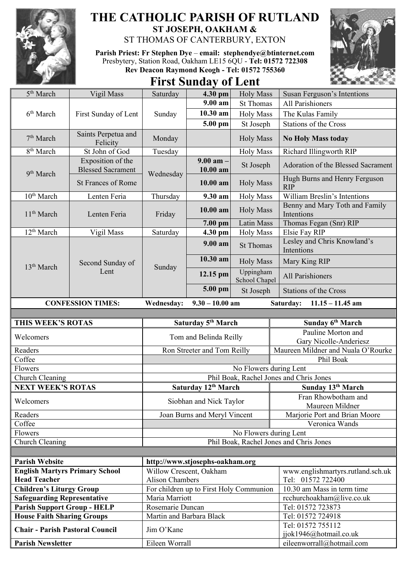

# **THE CATHOLIC PARISH OF RUTLAND ST JOSEPH, OAKHAM &**

ST THOMAS OF CANTERBURY, EXTON

**Parish Priest: Fr Stephen Dye** – **[email: stephendye@btinternet.com](mailto:email:%20%20stephendye@btinternet.com)** Presbytery, Station Road, Oakham LE15 6QU - **Tel: 01572 722308 Rev Deacon Raymond Keogh - Tel: 01572 755360**





| 5 <sup>th</sup> March                  | Vigil Mass                                    | Saturday                 | 4.30 pm                         | <b>Holy Mass</b>                        | Susan Ferguson's Intentions                            |
|----------------------------------------|-----------------------------------------------|--------------------------|---------------------------------|-----------------------------------------|--------------------------------------------------------|
| 6 <sup>th</sup> March                  | First Sunday of Lent                          | Sunday                   | 9.00 am                         | <b>St Thomas</b>                        | All Parishioners                                       |
|                                        |                                               |                          | 10.30 am                        | <b>Holy Mass</b>                        | The Kulas Family                                       |
|                                        |                                               |                          | 5.00 pm                         | St Joseph                               | Stations of the Cross                                  |
| 7 <sup>th</sup> March                  | Saints Perpetua and<br>Felicity               | Monday                   |                                 | <b>Holy Mass</b>                        | <b>No Holy Mass today</b>                              |
| 8 <sup>th</sup> March                  | St John of God                                | Tuesday                  |                                 | <b>Holy Mass</b>                        | Richard Illingworth RIP                                |
| 9 <sup>th</sup> March                  | Exposition of the<br><b>Blessed Sacrament</b> | Wednesday                | $9.00$ am $-$<br>10.00 am       | St Joseph                               | Adoration of the Blessed Sacrament                     |
|                                        | <b>St Frances of Rome</b>                     |                          | $10.00$ am                      | <b>Holy Mass</b>                        | Hugh Burns and Henry Ferguson<br><b>RIP</b>            |
| 10 <sup>th</sup> March                 | Lenten Feria                                  | Thursday                 | 9.30 am                         | <b>Holy Mass</b>                        | William Breslin's Intentions                           |
| 11 <sup>th</sup> March                 | Lenten Feria                                  | Friday                   | 10.00 am                        | <b>Holy Mass</b>                        | Benny and Mary Toth and Family<br>Intentions           |
|                                        |                                               |                          | $7.00$ pm                       | Latin Mass                              | Thomas Fegan (Snr) RIP                                 |
| 12 <sup>th</sup> March                 | Vigil Mass                                    | Saturday                 | 4.30 pm                         | <b>Holy Mass</b>                        | Elsie Fay RIP                                          |
| 13 <sup>th</sup> March                 | Second Sunday of<br>Lent                      | Sunday                   | $9.00 a$ m                      | <b>St Thomas</b>                        | Lesley and Chris Knowland's<br>Intentions              |
|                                        |                                               |                          | 10.30 am                        | <b>Holy Mass</b>                        | Mary King RIP                                          |
|                                        |                                               |                          | 12.15 pm                        | Uppingham<br>School Chapel              | All Parishioners                                       |
|                                        |                                               |                          | 5.00 pm                         | St Joseph                               | <b>Stations of the Cross</b>                           |
|                                        | <b>CONFESSION TIMES:</b>                      | <b>Wednesday:</b>        | $9.30 - 10.00$ am               |                                         | $11.15 - 11.45$ am<br>Saturday:                        |
|                                        |                                               |                          |                                 |                                         |                                                        |
|                                        |                                               |                          |                                 |                                         |                                                        |
| THIS WEEK'S ROTAS                      |                                               |                          | Saturday 5 <sup>th</sup> March  |                                         | Sunday 6 <sup>th</sup> March                           |
| Welcomers                              |                                               |                          | Tom and Belinda Reilly          |                                         | Pauline Morton and<br>Gary Nicolle-Anderiesz           |
| Readers                                |                                               |                          | Ron Streeter and Tom Reilly     |                                         | Maureen Mildner and Nuala O'Rourke                     |
| Coffee                                 |                                               |                          |                                 |                                         | Phil Boak                                              |
| Flowers                                |                                               |                          |                                 | No Flowers during Lent                  |                                                        |
| Church Cleaning                        |                                               |                          |                                 |                                         | Phil Boak, Rachel Jones and Chris Jones                |
| <b>NEXT WEEK'S ROTAS</b>               |                                               |                          | Saturday 12 <sup>th</sup> March |                                         | Sunday 13th March                                      |
| Welcomers                              |                                               |                          | Siobhan and Nick Taylor         |                                         | Fran Rhowbotham and<br>Maureen Mildner                 |
| Readers                                |                                               |                          | Joan Burns and Meryl Vincent    |                                         | Marjorie Port and Brian Moore                          |
| Coffee                                 |                                               |                          |                                 |                                         | Veronica Wands                                         |
| Flowers                                |                                               |                          |                                 | No Flowers during Lent                  |                                                        |
| Church Cleaning                        |                                               |                          |                                 |                                         | Phil Boak, Rachel Jones and Chris Jones                |
|                                        |                                               |                          |                                 |                                         |                                                        |
| <b>Parish Website</b>                  |                                               |                          | http://www.stjosephs-oakham.org |                                         |                                                        |
| <b>English Martyrs Primary School</b>  |                                               | Willow Crescent, Oakham  |                                 |                                         |                                                        |
| <b>Head Teacher</b>                    |                                               | <b>Alison Chambers</b>   |                                 |                                         | www.englishmartyrs.rutland.sch.uk<br>Tel: 01572 722400 |
| <b>Children's Liturgy Group</b>        |                                               |                          |                                 | For children up to First Holy Communion | 10.30 am Mass in term time                             |
| <b>Safeguarding Representative</b>     |                                               | Maria Marriott           |                                 |                                         | rcchurchoakham@live.co.uk                              |
| <b>Parish Support Group - HELP</b>     |                                               | Rosemarie Duncan         |                                 |                                         | Tel: 01572 723873                                      |
| <b>House Faith Sharing Groups</b>      |                                               | Martin and Barbara Black |                                 |                                         | Tel: 01572 724918                                      |
| <b>Chair - Parish Pastoral Council</b> |                                               | Jim O'Kane               |                                 |                                         | Tel: 01572 755112                                      |
| <b>Parish Newsletter</b>               |                                               | Eileen Worrall           |                                 |                                         | jjok1946@hotmail.co.uk<br>eileenworrall@hotmail.com    |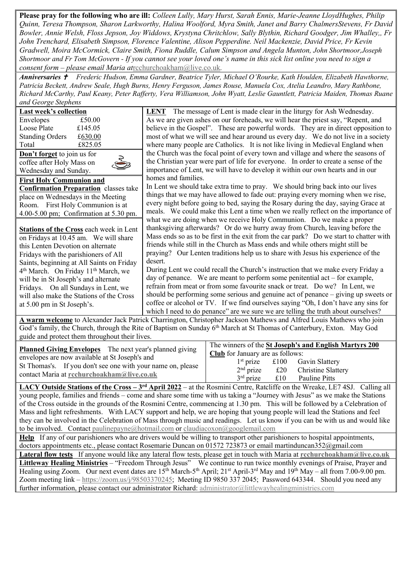**Please pray for the following who are ill:** *Colleen Lully, Mary Hurst, Sarah Ennis, Marie-Jeanne LloydHughes, Philip Quinn, Teresa Thompson, Sharon Larkworthy, Halina Woolford, Myra Smith, Janet and Barry ChalmersStevens, Fr David Bowler, Annie Welsh, Floss Jepson, Joy Widdows, Krystyna Chritchlow, Sally Blythin, Richard Goodger, Jim Whalley,, Fr John Trenchard, Elisabeth Simpson, Florence Valentine, Alison Pepperdine. Neil Mackenzie, David Price, Fr Kevin Gradwell, Moira McCormick, Claire Smith, Fiona Ruddle, Calum Simpson and Angela Munton, John Shortmoor,Joseph Shortmoor and Fr Tom McGovern - If you cannot see your loved one's name in this sick list online you need to sign a consent form – please email Maria at*[rcchurchoakham@live.co.uk](mailto:rcchurchoakham@live.co.uk)*.*

*Anniversaries Frederic Hudson, Emma Gardner, Beatrice Tyler, Michael O'Rourke, Kath Houlden, Elizabeth Hawthorne, Patricia Beckett, Andrew Seale, Hugh Burns, Henry Ferguson, James Rouse, Manuela Cox, Atelia Leandro, Mary Rathbone, Richard McCarthy, Paul Keany, Peter Rafferty, Vera Williamson, John Wyatt, Leslie Gauntlett, Patricia Maiden, Thomas Ruane and George Stephens*

| $m_{\rm H}$ over $\lambda v$ orepries                                                                                                  |                                                                                                                                  |  |  |  |  |  |
|----------------------------------------------------------------------------------------------------------------------------------------|----------------------------------------------------------------------------------------------------------------------------------|--|--|--|--|--|
| <b>Last week's collection</b>                                                                                                          | <b>LENT</b> The message of Lent is made clear in the liturgy for Ash Wednesday.                                                  |  |  |  |  |  |
| Envelopes<br>£50.00                                                                                                                    | As we are given ashes on our foreheads, we will hear the priest say, "Repent, and                                                |  |  |  |  |  |
| £145.05<br>Loose Plate                                                                                                                 | believe in the Gospel". These are powerful words. They are in direct opposition to                                               |  |  |  |  |  |
| <b>Standing Orders</b><br>£630.00                                                                                                      | most of what we will see and hear around us every day. We do not live in a society                                               |  |  |  |  |  |
| £825.05<br>Total                                                                                                                       | where many people are Catholics. It is not like living in Medieval England when                                                  |  |  |  |  |  |
| Don't forget to join us for                                                                                                            | the Church was the focal point of every town and village and where the seasons of                                                |  |  |  |  |  |
| coffee after Holy Mass on                                                                                                              | the Christian year were part of life for everyone. In order to create a sense of the                                             |  |  |  |  |  |
|                                                                                                                                        | importance of Lent, we will have to develop it within our own hearts and in our                                                  |  |  |  |  |  |
| Wednesday and Sunday.                                                                                                                  | homes and families.                                                                                                              |  |  |  |  |  |
| <b>First Holy Communion and</b>                                                                                                        | In Lent we should take extra time to pray. We should bring back into our lives                                                   |  |  |  |  |  |
| <b>Confirmation Preparation</b> classes take                                                                                           | things that we may have allowed to fade out: praying every morning when we rise,                                                 |  |  |  |  |  |
| place on Wednesdays in the Meeting                                                                                                     |                                                                                                                                  |  |  |  |  |  |
| Room. First Holy Communion is at                                                                                                       | every night before going to bed, saying the Rosary during the day, saying Grace at                                               |  |  |  |  |  |
| 4.00-5.00 pm; Confirmation at 5.30 pm.                                                                                                 | meals. We could make this Lent a time when we really reflect on the importance of                                                |  |  |  |  |  |
|                                                                                                                                        | what we are doing when we receive Holy Communion. Do we make a proper                                                            |  |  |  |  |  |
| <b>Stations of the Cross each week in Lent</b>                                                                                         | thanksgiving afterwards? Or do we hurry away from Church, leaving before the                                                     |  |  |  |  |  |
| on Fridays at 10.45 am. We will share                                                                                                  | Mass ends so as to be first in the exit from the car park? Do we start to chatter with                                           |  |  |  |  |  |
| this Lenten Devotion on alternate                                                                                                      | friends while still in the Church as Mass ends and while others might still be                                                   |  |  |  |  |  |
| Fridays with the parishioners of All                                                                                                   | praying? Our Lenten traditions help us to share with Jesus his experience of the                                                 |  |  |  |  |  |
| Saints, beginning at All Saints on Friday                                                                                              | desert.                                                                                                                          |  |  |  |  |  |
| 4 <sup>th</sup> March. On Friday 11 <sup>th</sup> March, we                                                                            | During Lent we could recall the Church's instruction that we make every Friday a                                                 |  |  |  |  |  |
| will be in St Joseph's and alternate                                                                                                   | day of penance. We are meant to perform some penitential $act$ – for example,                                                    |  |  |  |  |  |
| Fridays. On all Sundays in Lent, we                                                                                                    | refrain from meat or from some favourite snack or treat. Do we? In Lent, we                                                      |  |  |  |  |  |
| will also make the Stations of the Cross                                                                                               | should be performing some serious and genuine act of penance – giving up sweets or                                               |  |  |  |  |  |
| at 5.00 pm in St Joseph's.                                                                                                             | coffee or alcohol or TV. If we find ourselves saying "Oh, I don't have any sins for                                              |  |  |  |  |  |
|                                                                                                                                        | which I need to do penance" are we sure we are telling the truth about ourselves?                                                |  |  |  |  |  |
|                                                                                                                                        | A warm welcome to Alexander Jack Patrick Charrington, Christopher Jackson Mathews and Alfred Louis Mathews who join              |  |  |  |  |  |
|                                                                                                                                        | God's family, the Church, through the Rite of Baptism on Sunday 6 <sup>th</sup> March at St Thomas of Canterbury, Exton. May God |  |  |  |  |  |
| guide and protect them throughout their lives.                                                                                         |                                                                                                                                  |  |  |  |  |  |
|                                                                                                                                        | The winners of the St Joseph's and English Martyrs 200                                                                           |  |  |  |  |  |
| <b>Planned Giving Envelopes</b> The next year's planned giving                                                                         | <b>Club</b> for January are as follows:                                                                                          |  |  |  |  |  |
| envelopes are now available at St Joseph's and                                                                                         | $1st$ prize<br>Gavin Slattery<br>£100                                                                                            |  |  |  |  |  |
| St Thomas's. If you don't see one with your name on, please                                                                            | $2nd$ prize<br>£20<br>Christine Slattery                                                                                         |  |  |  |  |  |
| contact Maria at rechurchoakham@live.co.uk                                                                                             | $3rd$ prize<br>£10<br>Pauline Pitts                                                                                              |  |  |  |  |  |
| LACY Outside Stations of the Cross - 3 <sup>rd</sup> April 2022 - at the Rosmini Centre, Ratcliffe on the Wreake, LE7 4SJ. Calling all |                                                                                                                                  |  |  |  |  |  |
| young people, families and friends – come and share some time with us taking a "Journey with Jesus" as we make the Stations            |                                                                                                                                  |  |  |  |  |  |
| of the Cross outside in the grounds of the Rosmini Centre, commencing at 1.30 pm. This will be followed by a Celebration of            |                                                                                                                                  |  |  |  |  |  |
|                                                                                                                                        | Mass and light refreshments. With LACY support and help, we are hoping that young people will lead the Stations and feel         |  |  |  |  |  |
| they can be involved in the Celebration of Mass through music and readings. Let us know if you can be with us and would like           |                                                                                                                                  |  |  |  |  |  |
| to be involved. Contact paulinepayne@hotmail.com or claudiacoxon@googlemail.com                                                        |                                                                                                                                  |  |  |  |  |  |
| Help If any of our parishioners who are drivers would be willing to transport other parishioners to hospital appointments,             |                                                                                                                                  |  |  |  |  |  |
| doctors appointments etc., please contact Rosemarie Duncan on 01572 723873 or email martinduncan352@gmail.com                          |                                                                                                                                  |  |  |  |  |  |
| <b>Lateral flow tests</b> If anyone would like any lateral flow tests, please get in touch with Maria at rechurchoakham@live.co.uk     |                                                                                                                                  |  |  |  |  |  |
| Littleway Healing Ministries – "Freedom Through Jesus" We continue to run twice monthly evenings of Praise, Prayer and                 |                                                                                                                                  |  |  |  |  |  |

**Littleway Healing Ministries** – "Freedom Through Jesus" We continue to run twice monthly evenings of Praise, Prayer and Healing using Zoom. Our next event dates are 15<sup>th</sup> March-5<sup>th</sup> April; 21<sup>st</sup> April-3<sup>rd</sup> May and 19<sup>th</sup> May – all from 7.00-9.00 pm. Zoom meeting link – [https://zoom.us/j/98503370245;](https://zoom.us/j/98503370245) Meeting ID 9850 337 2045; Password 643344. Should you need any further information, please contact our administrator Richard: [administrator@littlewayhealingministries.com](mailto:administrator@littlewayhealingministries.com)